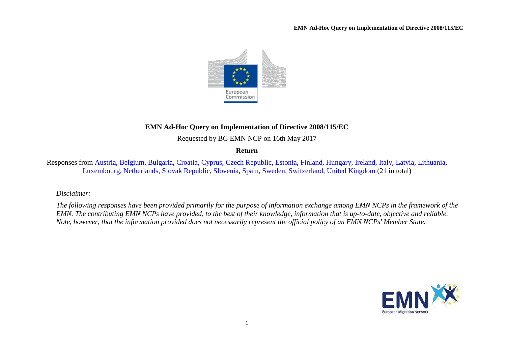

# **EMN Ad-Hoc Query on Implementation of Directive 2008/115/EC**

Requested by BG EMN NCP on 16th May 2017

**Return**

Responses from [Austria,](#page-1-0) [Belgium,](#page-2-0) [Bulgaria,](#page-2-1) [Croatia,](#page-3-0) [Cyprus,](#page-3-1) [Czech Republic,](#page-4-0) [Estonia,](#page-5-0) [Finland, Hungary,](#page-5-1) [Ireland,](#page-6-0) [Italy,](#page-7-0) [Latvia,](#page-7-1) [Lithuania,](#page-8-0) [Luxembourg,](#page-8-1) [Netherlands,](#page-9-0) [Slovak Republic,](#page-10-0) [Slovenia,](#page-10-1) [Spain, Sweden,](#page-10-2) [Switzerland,](#page-11-0) [United Kingdom](#page-11-1) (21 in total)

## *Disclaimer:*

*The following responses have been provided primarily for the purpose of information exchange among EMN NCPs in the framework of the EMN. The contributing EMN NCPs have provided, to the best of their knowledge, information that is up-to-date, objective and reliable. Note, however, that the information provided does not necessarily represent the official policy of an EMN NCPs' Member State.*

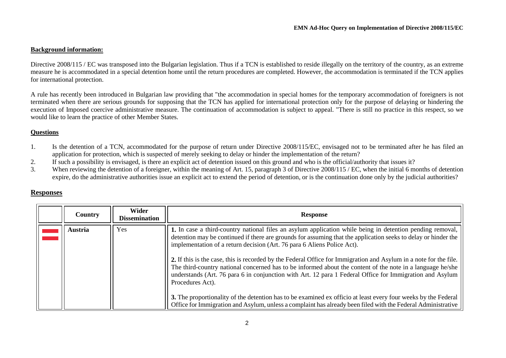#### **Background information:**

Directive 2008/115 / EC was transposed into the Bulgarian legislation. Thus if a TCN is established to reside illegally on the territory of the country, as an extreme measure he is accommodated in a special detention home until the return procedures are completed. However, the accommodation is terminated if the TCN applies for international protection.

A rule has recently been introduced in Bulgarian law providing that "the accommodation in special homes for the temporary accommodation of foreigners is not terminated when there are serious grounds for supposing that the TCN has applied for international protection only for the purpose of delaying or hindering the execution of Imposed coercive administrative measure. The continuation of accommodation is subject to appeal. "There is still no practice in this respect, so we would like to learn the practice of other Member States.

#### **Questions**

- 1. Is the detention of a TCN, accommodated for the purpose of return under Directive 2008/115/EC, envisaged not to be terminated after he has filed an application for protection, which is suspected of merely seeking to delay or hinder the implementation of the return?
- 2. If such a possibility is envisaged, is there an explicit act of detention issued on this ground and who is the official/authority that issues it?<br>3. When reviewing the detention of a foreigner, within the meaning of Art
- When reviewing the detention of a foreigner, within the meaning of Art. 15, paragraph 3 of Directive 2008/115 / EC, when the initial 6 months of detention expire, do the administrative authorities issue an explicit act to extend the period of detention, or is the continuation done only by the judicial authorities?

### **Responses**

<span id="page-1-0"></span>

| <b>Country</b> | <b>Wider</b><br><b>Dissemination</b> | <b>Response</b>                                                                                                                                                                                                                                                                                                                                                                                                                                                                   |
|----------------|--------------------------------------|-----------------------------------------------------------------------------------------------------------------------------------------------------------------------------------------------------------------------------------------------------------------------------------------------------------------------------------------------------------------------------------------------------------------------------------------------------------------------------------|
| <b>Austria</b> | Yes                                  | 1. In case a third-country national files an asylum application while being in detention pending removal,<br>detention may be continued if there are grounds for assuming that the application seeks to delay or hinder the<br>implementation of a return decision (Art. 76 para 6 Aliens Police Act).                                                                                                                                                                            |
|                |                                      | 2. If this is the case, this is recorded by the Federal Office for Immigration and Asylum in a note for the file.<br>The third-country national concerned has to be informed about the content of the note in a language he/she<br>understands (Art. 76 para 6 in conjunction with Art. 12 para 1 Federal Office for Immigration and Asylum<br>Procedures Act).<br>3. The proportionality of the detention has to be examined ex officio at least every four weeks by the Federal |
|                |                                      | Office for Immigration and Asylum, unless a complaint has already been filed with the Federal Administrative                                                                                                                                                                                                                                                                                                                                                                      |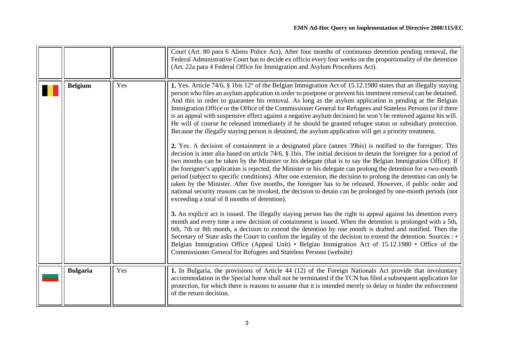<span id="page-2-1"></span><span id="page-2-0"></span>

|                 |     | Court (Art. 80 para 6 Aliens Police Act). After four months of continuous detention pending removal, the<br>Federal Administrative Court has to decide ex officio every four weeks on the proportionality of the detention<br>(Art. 22a para 4 Federal Office for Immigration and Asylum Procedures Act).                                                                                                                                                                                                                                                                                                                                                                                                                                                                                                                                                                                                                                                                                                                                                                                                                                                                                                                                                                                                                                                                                                                                                                                                                                                                                                                                                                                                                                                                                                                                                                                                                                                                                                                                                                                                                                                                                                                                                                                                          |
|-----------------|-----|--------------------------------------------------------------------------------------------------------------------------------------------------------------------------------------------------------------------------------------------------------------------------------------------------------------------------------------------------------------------------------------------------------------------------------------------------------------------------------------------------------------------------------------------------------------------------------------------------------------------------------------------------------------------------------------------------------------------------------------------------------------------------------------------------------------------------------------------------------------------------------------------------------------------------------------------------------------------------------------------------------------------------------------------------------------------------------------------------------------------------------------------------------------------------------------------------------------------------------------------------------------------------------------------------------------------------------------------------------------------------------------------------------------------------------------------------------------------------------------------------------------------------------------------------------------------------------------------------------------------------------------------------------------------------------------------------------------------------------------------------------------------------------------------------------------------------------------------------------------------------------------------------------------------------------------------------------------------------------------------------------------------------------------------------------------------------------------------------------------------------------------------------------------------------------------------------------------------------------------------------------------------------------------------------------------------|
| <b>Belgium</b>  | Yes | 1. Yes. Article 74/6, § 1bis 12° of the Belgian Immigration Act of 15.12.1980 states that an illegally staying<br>person who files an asylum application in order to postpone or prevent his imminent removal can be detained.<br>And this in order to guarantee his removal. As long as the asylum application is pending at the Belgian<br>Immigration Office or the Office of the Commissioner General for Refugees and Stateless Persons (or if there<br>is an appeal with suspensive effect against a negative asylum decision) he won't be removed against his will.<br>He will of course be released immediately if he should be granted refugee status or subsidiary protection.<br>Because the illegally staying person is detained, the asylum application will get a priority treatment.<br>2. Yes. A decision of containment in a designated place (annex 39bis) is notified to the foreigner. This<br>decision is inter alia based on article $74/6$ , $\S$ 1 bis. The initial decision to detain the foreigner for a period of<br>two months can be taken by the Minister or his delegate (that is to say the Belgian Immigration Office). If<br>the foreigner's application is rejected, the Minister or his delegate can prolong the detention for a two-month<br>period (subject to specific conditions). After one extension, the decision to prolong the detention can only be<br>taken by the Minister. After five months, the foreigner has to be released. However, if public order and<br>national security reasons can be invoked, the decision to detain can be prolonged by one-month periods (not<br>exceeding a total of 8 months of detention).<br>3. An explicit act is issued. The illegally staying person has the right to appeal against his detention every<br>month and every time a new decision of containment is issued. When the detention is prolonged with a 5th,<br>6th, 7th or 8th month, a decision to extend the detention by one month is drafted and notified. Then the<br>Secretary of State asks the Court to confirm the legality of the decision to extend the detention. Sources : •<br>Belgian Immigration Office (Appeal Unit) • Belgian Immigration Act of 15.12.1980 • Office of the<br>Commissioner General for Refugees and Stateless Persons (website) |
| <b>Bulgaria</b> | Yes | 1. In Bulgaria, the provisions of Article 44 (12) of the Foreign Nationals Act provide that involuntary<br>accommodation in the Special home shall not be terminated if the TCN has filed a subsequent application for<br>protection, for which there is reasons to assume that it is intended merely to delay or hinder the enforcement<br>of the return decision.                                                                                                                                                                                                                                                                                                                                                                                                                                                                                                                                                                                                                                                                                                                                                                                                                                                                                                                                                                                                                                                                                                                                                                                                                                                                                                                                                                                                                                                                                                                                                                                                                                                                                                                                                                                                                                                                                                                                                |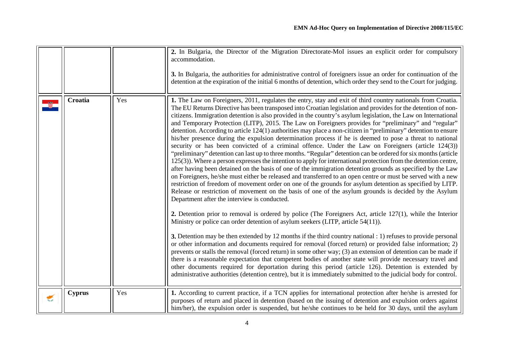<span id="page-3-1"></span><span id="page-3-0"></span>

|   |               |     | 2. In Bulgaria, the Director of the Migration Directorate-MoI issues an explicit order for compulsory<br>accommodation.<br>3. In Bulgaria, the authorities for administrative control of foreigners issue an order for continuation of the<br>detention at the expiration of the initial 6 months of detention, which order they send to the Court for judging.                                                                                                                                                                                                                                                                                                                                                                                                                                                                                                                                                                                                                                                                                                                                                                                                                                                                                                                                                                                                                                                                                                                                                                                                                                                                                                                                                                                                                                                                                                                                                                                                                                                                                                                                                                                                                                                                                                                                                                                                                                                                        |
|---|---------------|-----|----------------------------------------------------------------------------------------------------------------------------------------------------------------------------------------------------------------------------------------------------------------------------------------------------------------------------------------------------------------------------------------------------------------------------------------------------------------------------------------------------------------------------------------------------------------------------------------------------------------------------------------------------------------------------------------------------------------------------------------------------------------------------------------------------------------------------------------------------------------------------------------------------------------------------------------------------------------------------------------------------------------------------------------------------------------------------------------------------------------------------------------------------------------------------------------------------------------------------------------------------------------------------------------------------------------------------------------------------------------------------------------------------------------------------------------------------------------------------------------------------------------------------------------------------------------------------------------------------------------------------------------------------------------------------------------------------------------------------------------------------------------------------------------------------------------------------------------------------------------------------------------------------------------------------------------------------------------------------------------------------------------------------------------------------------------------------------------------------------------------------------------------------------------------------------------------------------------------------------------------------------------------------------------------------------------------------------------------------------------------------------------------------------------------------------------|
|   | Croatia       | Yes | 1. The Law on Foreigners, 2011, regulates the entry, stay and exit of third country nationals from Croatia.<br>The EU Returns Directive has been transposed into Croatian legislation and provides for the detention of non-<br>citizens. Immigration detention is also provided in the country's asylum legislation, the Law on International<br>and Temporary Protection (LITP), 2015. The Law on Foreigners provides for "preliminary" and "regular"<br>detention. According to article 124(1) authorities may place a non-citizen in "preliminary" detention to ensure<br>his/her presence during the expulsion determination process if he is deemed to pose a threat to national<br>security or has been convicted of a criminal offence. Under the Law on Foreigners (article 124(3))<br>"preliminary" detention can last up to three months. "Regular" detention can be ordered for six months (article<br>125(3)). Where a person expresses the intention to apply for international protection from the detention centre,<br>after having been detained on the basis of one of the immigration detention grounds as specified by the Law<br>on Foreigners, he/she must either be released and transferred to an open centre or must be served with a new<br>restriction of freedom of movement order on one of the grounds for asylum detention as specified by LITP.<br>Release or restriction of movement on the basis of one of the asylum grounds is decided by the Asylum<br>Department after the interview is conducted.<br>2. Detention prior to removal is ordered by police (The Foreigners Act, article $127(1)$ , while the Interior<br>Ministry or police can order detention of asylum seekers (LITP, article 54(11)).<br>3. Detention may be then extended by 12 months if the third country national : 1) refuses to provide personal<br>or other information and documents required for removal (forced return) or provided false information; 2)<br>prevents or stalls the removal (forced return) in some other way; (3) an extension of detention can be made if<br>there is a reasonable expectation that competent bodies of another state will provide necessary travel and<br>other documents required for deportation during this period (article 126). Detention is extended by<br>administrative authorities (detention centre), but it is immediately submitted to the judicial body for control. |
| € | <b>Cyprus</b> | Yes | 1. According to current practice, if a TCN applies for international protection after he/she is arrested for<br>purposes of return and placed in detention (based on the issuing of detention and expulsion orders against<br>him/her), the expulsion order is suspended, but he/she continues to be held for 30 days, until the asylum                                                                                                                                                                                                                                                                                                                                                                                                                                                                                                                                                                                                                                                                                                                                                                                                                                                                                                                                                                                                                                                                                                                                                                                                                                                                                                                                                                                                                                                                                                                                                                                                                                                                                                                                                                                                                                                                                                                                                                                                                                                                                                |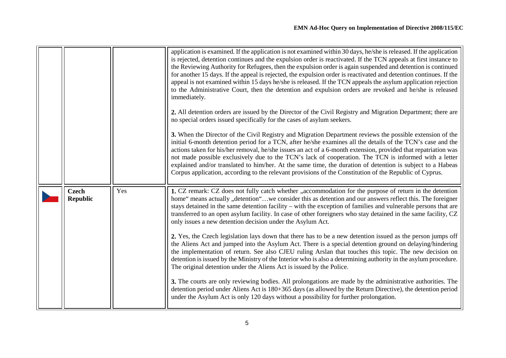<span id="page-4-0"></span>

|                                 |     | application is examined. If the application is not examined within 30 days, he/she is released. If the application<br>is rejected, detention continues and the expulsion order is reactivated. If the TCN appeals at first instance to<br>the Reviewing Authority for Refugees, then the expulsion order is again suspended and detention is continued<br>for another 15 days. If the appeal is rejected, the expulsion order is reactivated and detention continues. If the<br>appeal is not examined within 15 days he/she is released. If the TCN appeals the asylum application rejection<br>to the Administrative Court, then the detention and expulsion orders are revoked and he/she is released<br>immediately.<br>2. All detention orders are issued by the Director of the Civil Registry and Migration Department; there are<br>no special orders issued specifically for the cases of asylum seekers. |
|---------------------------------|-----|--------------------------------------------------------------------------------------------------------------------------------------------------------------------------------------------------------------------------------------------------------------------------------------------------------------------------------------------------------------------------------------------------------------------------------------------------------------------------------------------------------------------------------------------------------------------------------------------------------------------------------------------------------------------------------------------------------------------------------------------------------------------------------------------------------------------------------------------------------------------------------------------------------------------|
|                                 |     | 3. When the Director of the Civil Registry and Migration Department reviews the possible extension of the<br>initial 6-month detention period for a TCN, after he/she examines all the details of the TCN's case and the<br>actions taken for his/her removal, he/she issues an act of a 6-month extension, provided that repatriation was<br>not made possible exclusively due to the TCN's lack of cooperation. The TCN is informed with a letter<br>explained and/or translated to him/her. At the same time, the duration of detention is subject to a Habeas<br>Corpus application, according to the relevant provisions of the Constitution of the Republic of Cyprus.                                                                                                                                                                                                                                       |
| <b>Czech</b><br><b>Republic</b> | Yes | 1. CZ remark: CZ does not fully catch whether "accommodation for the purpose of return in the detention<br>home" means actually "detention"we consider this as detention and our answers reflect this. The foreigner<br>stays detained in the same detention facility – with the exception of families and vulnerable persons that are<br>transferred to an open asylum facility. In case of other foreigners who stay detained in the same facility, CZ<br>only issues a new detention decision under the Asylum Act.                                                                                                                                                                                                                                                                                                                                                                                             |
|                                 |     | 2. Yes, the Czech legislation lays down that there has to be a new detention issued as the person jumps off<br>the Aliens Act and jumped into the Asylum Act. There is a special detention ground on delaying/hindering<br>the implementation of return. See also CJEU ruling Arslan that touches this topic. The new decision on<br>detention is issued by the Ministry of the Interior who is also a determining authority in the asylum procedure.<br>The original detention under the Aliens Act is issued by the Police.                                                                                                                                                                                                                                                                                                                                                                                      |
|                                 |     | 3. The courts are only reviewing bodies. All prolongations are made by the administrative authorities. The<br>detention period under Aliens Act is 180+365 days (as allowed by the Return Directive), the detention period<br>under the Asylum Act is only 120 days without a possibility for further prolongation.                                                                                                                                                                                                                                                                                                                                                                                                                                                                                                                                                                                                |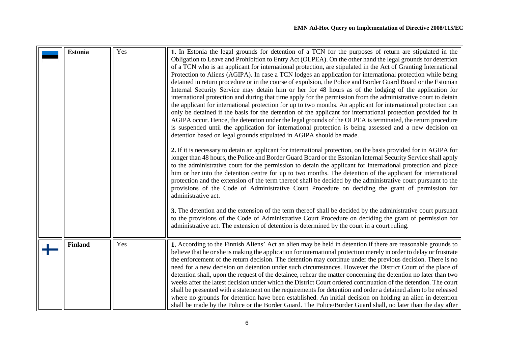<span id="page-5-1"></span><span id="page-5-0"></span>

| <b>Estonia</b> | Yes | 1. In Estonia the legal grounds for detention of a TCN for the purposes of return are stipulated in the<br>Obligation to Leave and Prohibition to Entry Act (OLPEA). On the other hand the legal grounds for detention<br>of a TCN who is an applicant for international protection, are stipulated in the Act of Granting International<br>Protection to Aliens (AGIPA). In case a TCN lodges an application for international protection while being<br>detained in return procedure or in the course of expulsion, the Police and Border Guard Board or the Estonian<br>Internal Security Service may detain him or her for 48 hours as of the lodging of the application for<br>international protection and during that time apply for the permission from the administrative court to detain<br>the applicant for international protection for up to two months. An applicant for international protection can<br>only be detained if the basis for the detention of the applicant for international protection provided for in<br>AGIPA occur. Hence, the detention under the legal grounds of the OLPEA is terminated, the return procedure<br>is suspended until the application for international protection is being assessed and a new decision on<br>detention based on legal grounds stipulated in AGIPA should be made.<br>2. If it is necessary to detain an applicant for international protection, on the basis provided for in AGIPA for<br>longer than 48 hours, the Police and Border Guard Board or the Estonian Internal Security Service shall apply<br>to the administrative court for the permission to detain the applicant for international protection and place<br>him or her into the detention centre for up to two months. The detention of the applicant for international<br>protection and the extension of the term thereof shall be decided by the administrative court pursuant to the<br>provisions of the Code of Administrative Court Procedure on deciding the grant of permission for<br>administrative act.<br>3. The detention and the extension of the term thereof shall be decided by the administrative court pursuant<br>to the provisions of the Code of Administrative Court Procedure on deciding the grant of permission for<br>administrative act. The extension of detention is determined by the court in a court ruling. |
|----------------|-----|-------------------------------------------------------------------------------------------------------------------------------------------------------------------------------------------------------------------------------------------------------------------------------------------------------------------------------------------------------------------------------------------------------------------------------------------------------------------------------------------------------------------------------------------------------------------------------------------------------------------------------------------------------------------------------------------------------------------------------------------------------------------------------------------------------------------------------------------------------------------------------------------------------------------------------------------------------------------------------------------------------------------------------------------------------------------------------------------------------------------------------------------------------------------------------------------------------------------------------------------------------------------------------------------------------------------------------------------------------------------------------------------------------------------------------------------------------------------------------------------------------------------------------------------------------------------------------------------------------------------------------------------------------------------------------------------------------------------------------------------------------------------------------------------------------------------------------------------------------------------------------------------------------------------------------------------------------------------------------------------------------------------------------------------------------------------------------------------------------------------------------------------------------------------------------------------------------------------------------------------------------------------------------------------------------------------------------------------------------------------------------------|
| <b>Finland</b> | Yes | 1. According to the Finnish Aliens' Act an alien may be held in detention if there are reasonable grounds to<br>believe that he or she is making the application for international protection merely in order to delay or frustrate<br>the enforcement of the return decision. The detention may continue under the previous decision. There is no<br>need for a new decision on detention under such circumstances. However the District Court of the place of<br>detention shall, upon the request of the detainee, rehear the matter concerning the detention no later than two<br>weeks after the latest decision under which the District Court ordered continuation of the detention. The court<br>shall be presented with a statement on the requirements for detention and order a detained alien to be released<br>where no grounds for detention have been established. An initial decision on holding an alien in detention<br>shall be made by the Police or the Border Guard. The Police/Border Guard shall, no later than the day after                                                                                                                                                                                                                                                                                                                                                                                                                                                                                                                                                                                                                                                                                                                                                                                                                                                                                                                                                                                                                                                                                                                                                                                                                                                                                                                               |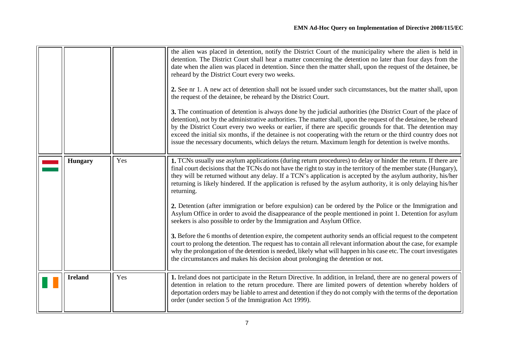<span id="page-6-0"></span>

|                |     | the alien was placed in detention, notify the District Court of the municipality where the alien is held in<br>detention. The District Court shall hear a matter concerning the detention no later than four days from the<br>date when the alien was placed in detention. Since then the matter shall, upon the request of the detainee, be<br>reheard by the District Court every two weeks.<br>2. See nr 1. A new act of detention shall not be issued under such circumstances, but the matter shall, upon<br>the request of the detainee, be reheard by the District Court.<br>3. The continuation of detention is always done by the judicial authorities (the District Court of the place of<br>detention), not by the administrative authorities. The matter shall, upon the request of the detainee, be reheard<br>by the District Court every two weeks or earlier, if there are specific grounds for that. The detention may<br>exceed the initial six months, if the detainee is not cooperating with the return or the third country does not<br>issue the necessary documents, which delays the return. Maximum length for detention is twelve months.                                                                   |
|----------------|-----|----------------------------------------------------------------------------------------------------------------------------------------------------------------------------------------------------------------------------------------------------------------------------------------------------------------------------------------------------------------------------------------------------------------------------------------------------------------------------------------------------------------------------------------------------------------------------------------------------------------------------------------------------------------------------------------------------------------------------------------------------------------------------------------------------------------------------------------------------------------------------------------------------------------------------------------------------------------------------------------------------------------------------------------------------------------------------------------------------------------------------------------------------------------------------------------------------------------------------------------|
| <b>Hungary</b> | Yes | 1. TCNs usually use asylum applications (during return procedures) to delay or hinder the return. If there are<br>final court decisions that the TCNs do not have the right to stay in the territory of the member state (Hungary),<br>they will be returned without any delay. If a TCN's application is accepted by the asylum authority, his/her<br>returning is likely hindered. If the application is refused by the asylum authority, it is only delaying his/her<br>returning.<br>2. Detention (after immigration or before expulsion) can be ordered by the Police or the Immigration and<br>Asylum Office in order to avoid the disappearance of the people mentioned in point 1. Detention for asylum<br>seekers is also possible to order by the Immigration and Asylum Office.<br>3. Before the 6 months of detention expire, the competent authority sends an official request to the competent<br>court to prolong the detention. The request has to contain all relevant information about the case, for example<br>why the prolongation of the detention is needed, likely what will happen in his case etc. The court investigates<br>the circumstances and makes his decision about prolonging the detention or not. |
| <b>Ireland</b> | Yes | 1. Ireland does not participate in the Return Directive. In addition, in Ireland, there are no general powers of<br>detention in relation to the return procedure. There are limited powers of detention whereby holders of<br>deportation orders may be liable to arrest and detention if they do not comply with the terms of the deportation<br>order (under section 5 of the Immigration Act 1999).                                                                                                                                                                                                                                                                                                                                                                                                                                                                                                                                                                                                                                                                                                                                                                                                                                |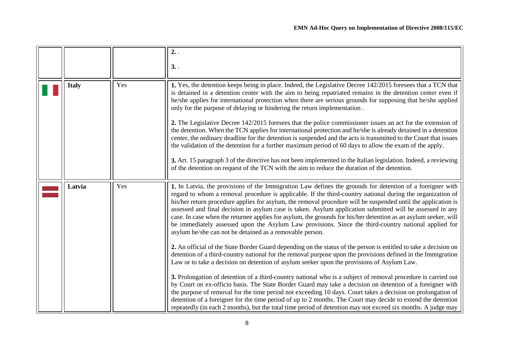<span id="page-7-1"></span><span id="page-7-0"></span>

|              |     | 2.                                                                                                                                                                                                                                                                                                                                                                                                                                                                                                                                                                                                                                                                                                                                           |
|--------------|-----|----------------------------------------------------------------------------------------------------------------------------------------------------------------------------------------------------------------------------------------------------------------------------------------------------------------------------------------------------------------------------------------------------------------------------------------------------------------------------------------------------------------------------------------------------------------------------------------------------------------------------------------------------------------------------------------------------------------------------------------------|
|              |     | 3.                                                                                                                                                                                                                                                                                                                                                                                                                                                                                                                                                                                                                                                                                                                                           |
| <b>Italy</b> | Yes | 1. Yes, the detention keeps being in place. Indeed, the Legislative Decree 142/2015 foresees that a TCN that<br>is detained in a detention center with the aim to being repatriated remains in the detention center even if<br>he/she applies for international protection when there are serious grounds for supposing that he/she applied<br>only for the purpose of delaying or hindering the return implementation.                                                                                                                                                                                                                                                                                                                      |
|              |     | 2. The Legislative Decree 142/2015 foresees that the police commissioner issues an act for the extension of<br>the detention. When the TCN applies for international protection and he/she is already detained in a detention<br>center, the ordinary deadline for the detention is suspended and the acts is transmitted to the Court that issues<br>the validation of the detention for a further maximum period of 60 days to allow the exam of the apply.                                                                                                                                                                                                                                                                                |
|              |     | 3. Art. 15 paragraph 3 of the directive has not been implemented in the Italian legislation. Indeed, a reviewing<br>of the detention on request of the TCN with the aim to reduce the duration of the detention.                                                                                                                                                                                                                                                                                                                                                                                                                                                                                                                             |
| Latvia       | Yes | 1. In Latvia, the provisions of the Immigration Law defines the grounds for detention of a foreigner with<br>regard to whom a removal procedure is applicable. If the third-country national during the organization of<br>his/her return procedure applies for asylum, the removal procedure will be suspended until the application is<br>assessed and final decision in asylum case is taken. Asylum application submitted will be assessed in any<br>case. In case when the returnee applies for asylum, the grounds for his/her detention as an asylum seeker, will<br>be immediately assessed upon the Asylum Law provisions. Since the third-country national applied for<br>asylum he/she can not be detained as a removable person. |
|              |     | 2. An official of the State Border Guard depending on the status of the person is entitled to take a decision on<br>detention of a third-country national for the removal purpose upon the provisions defined in the Immigration<br>Law or to take a decision on detention of asylum seeker upon the provisions of Asylum Law.                                                                                                                                                                                                                                                                                                                                                                                                               |
|              |     | 3. Prolongation of detention of a third-country national who is a subject of removal procedure is carried out<br>by Court on ex-officio basis. The State Border Guard may take a decision on detention of a foreigner with<br>the purpose of removal for the time period not exceeding 10 days. Court takes a decision on prolongation of<br>detention of a foreigner for the time period of up to 2 months. The Court may decide to extend the detention<br>repeatedly (in each 2 months), but the total time period of detention may not exceed six months. A judge may                                                                                                                                                                    |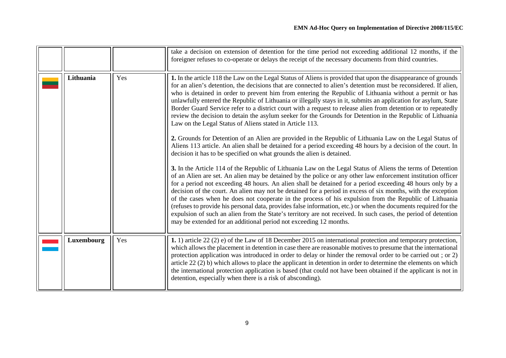<span id="page-8-1"></span><span id="page-8-0"></span>

|            |     | take a decision on extension of detention for the time period not exceeding additional 12 months, if the<br>foreigner refuses to co-operate or delays the receipt of the necessary documents from third countries.                                                                                                                                                                                                                                                                                                                                                                                                                                                                                                                                                                                                                                                                                                                                                                                                                                                                                                                                                                                                                                                                                                                                                                                                                                                                                                                                                                                                                                                                                                                                                                                                                                                                                                                                  |
|------------|-----|-----------------------------------------------------------------------------------------------------------------------------------------------------------------------------------------------------------------------------------------------------------------------------------------------------------------------------------------------------------------------------------------------------------------------------------------------------------------------------------------------------------------------------------------------------------------------------------------------------------------------------------------------------------------------------------------------------------------------------------------------------------------------------------------------------------------------------------------------------------------------------------------------------------------------------------------------------------------------------------------------------------------------------------------------------------------------------------------------------------------------------------------------------------------------------------------------------------------------------------------------------------------------------------------------------------------------------------------------------------------------------------------------------------------------------------------------------------------------------------------------------------------------------------------------------------------------------------------------------------------------------------------------------------------------------------------------------------------------------------------------------------------------------------------------------------------------------------------------------------------------------------------------------------------------------------------------------|
| Lithuania  | Yes | 1. In the article 118 the Law on the Legal Status of Aliens is provided that upon the disappearance of grounds<br>for an alien's detention, the decisions that are connected to alien's detention must be reconsidered. If alien,<br>who is detained in order to prevent him from entering the Republic of Lithuania without a permit or has<br>unlawfully entered the Republic of Lithuania or illegally stays in it, submits an application for asylum, State<br>Border Guard Service refer to a district court with a request to release alien from detention or to repeatedly<br>review the decision to detain the asylum seeker for the Grounds for Detention in the Republic of Lithuania<br>Law on the Legal Status of Aliens stated in Article 113.<br>2. Grounds for Detention of an Alien are provided in the Republic of Lithuania Law on the Legal Status of<br>Aliens 113 article. An alien shall be detained for a period exceeding 48 hours by a decision of the court. In<br>decision it has to be specified on what grounds the alien is detained.<br>3. In the Article 114 of the Republic of Lithuania Law on the Legal Status of Aliens the terms of Detention<br>of an Alien are set. An alien may be detained by the police or any other law enforcement institution officer<br>for a period not exceeding 48 hours. An alien shall be detained for a period exceeding 48 hours only by a<br>decision of the court. An alien may not be detained for a period in excess of six months, with the exception<br>of the cases when he does not cooperate in the process of his expulsion from the Republic of Lithuania<br>(refuses to provide his personal data, provides false information, etc.) or when the documents required for the<br>expulsion of such an alien from the State's territory are not received. In such cases, the period of detention<br>may be extended for an additional period not exceeding 12 months. |
| Luxembourg | Yes | 1. 1) article 22 (2) e) of the Law of 18 December 2015 on international protection and temporary protection,<br>which allows the placement in detention in case there are reasonable motives to presume that the international<br>protection application was introduced in order to delay or hinder the removal order to be carried out; or 2)                                                                                                                                                                                                                                                                                                                                                                                                                                                                                                                                                                                                                                                                                                                                                                                                                                                                                                                                                                                                                                                                                                                                                                                                                                                                                                                                                                                                                                                                                                                                                                                                      |
|            |     | article 22 (2) b) which allows to place the applicant in detention in order to determine the elements on which<br>the international protection application is based (that could not have been obtained if the applicant is not in<br>detention, especially when there is a risk of absconding).                                                                                                                                                                                                                                                                                                                                                                                                                                                                                                                                                                                                                                                                                                                                                                                                                                                                                                                                                                                                                                                                                                                                                                                                                                                                                                                                                                                                                                                                                                                                                                                                                                                     |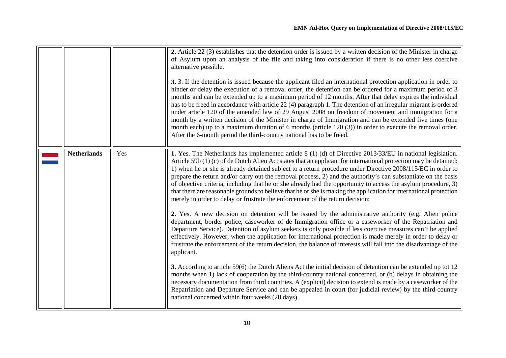<span id="page-9-0"></span>

|                    |     | 2. Article 22 (3) establishes that the detention order is issued by a written decision of the Minister in charge<br>of Asylum upon an analysis of the file and taking into consideration if there is no other less coercive<br>alternative possible.<br>3. 3. If the detention is issued because the applicant filed an international protection application in order to<br>hinder or delay the execution of a removal order, the detention can be ordered for a maximum period of 3<br>months and can be extended up to a maximum period of 12 months. After that delay expires the individual<br>has to be freed in accordance with article 22 (4) paragraph 1. The detention of an irregular migrant is ordered<br>under article 120 of the amended law of 29 August 2008 on freedom of movement and immigration for a<br>month by a written decision of the Minister in charge of Immigration and can be extended five times (one<br>month each) up to a maximum duration of 6 months (article $120(3)$ ) in order to execute the removal order.<br>After the 6-month period the third-country national has to be freed. |
|--------------------|-----|------------------------------------------------------------------------------------------------------------------------------------------------------------------------------------------------------------------------------------------------------------------------------------------------------------------------------------------------------------------------------------------------------------------------------------------------------------------------------------------------------------------------------------------------------------------------------------------------------------------------------------------------------------------------------------------------------------------------------------------------------------------------------------------------------------------------------------------------------------------------------------------------------------------------------------------------------------------------------------------------------------------------------------------------------------------------------------------------------------------------------|
| <b>Netherlands</b> | Yes | 1. Yes. The Netherlands has implemented article 8 (1) (d) of Directive 2013/33/EU in national legislation.<br>Article 59b $(1)$ (c) of de Dutch Alien Act states that an applicant for international protection may be detained:<br>1) when he or she is already detained subject to a return procedure under Directive 2008/115/EC in order to<br>prepare the return and/or carry out the removal process, 2) and the authority's can substantiate on the basis<br>of objective criteria, including that he or she already had the opportunity to access the asylum procedure, 3)<br>that there are reasonable grounds to believe that he or she is making the application for international protection<br>merely in order to delay or frustrate the enforcement of the return decision;                                                                                                                                                                                                                                                                                                                                    |
|                    |     | 2. Yes. A new decision on detention will be issued by the administrative authority (e.g. Alien police<br>department, border police, caseworker of de Immigration office or a caseworker of the Repatriation and<br>Departure Service). Detention of asylum seekers is only possible if less coercive measures can't be applied<br>effectively. However, when the application for international protection is made merely in order to delay or<br>frustrate the enforcement of the return decision, the balance of interests will fall into the disadvantage of the<br>applicant.                                                                                                                                                                                                                                                                                                                                                                                                                                                                                                                                             |
|                    |     | 3. According to article 59(6) the Dutch Aliens Act the initial decision of detention can be extended up tot 12<br>months when 1) lack of cooperation by the third-country national concerned, or (b) delays in obtaining the<br>necessary documentation from third countries. A (explicit) decision to extend is made by a caseworker of the<br>Repatriation and Departure Service and can be appealed in court (for judicial review) by the third-country<br>national concerned within four weeks (28 days).                                                                                                                                                                                                                                                                                                                                                                                                                                                                                                                                                                                                                |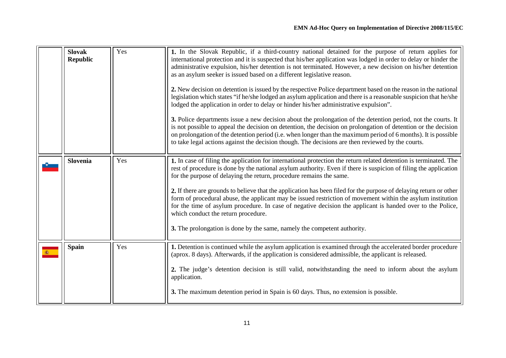<span id="page-10-2"></span><span id="page-10-1"></span><span id="page-10-0"></span>

| <b>Slovak</b><br><b>Republic</b> | Yes | 1. In the Slovak Republic, if a third-country national detained for the purpose of return applies for<br>international protection and it is suspected that his/her application was lodged in order to delay or hinder the<br>administrative expulsion, his/her detention is not terminated. However, a new decision on his/her detention<br>as an asylum seeker is issued based on a different legislative reason.<br>2. New decision on detention is issued by the respective Police department based on the reason in the national<br>legislation which states "if he/she lodged an asylum application and there is a reasonable suspicion that he/she<br>lodged the application in order to delay or hinder his/her administrative expulsion".<br>3. Police departments issue a new decision about the prolongation of the detention period, not the courts. It<br>is not possible to appeal the decision on detention, the decision on prolongation of detention or the decision<br>on prolongation of the detention period (i.e. when longer than the maximum period of 6 months). It is possible<br>to take legal actions against the decision though. The decisions are then reviewed by the courts. |
|----------------------------------|-----|-------------------------------------------------------------------------------------------------------------------------------------------------------------------------------------------------------------------------------------------------------------------------------------------------------------------------------------------------------------------------------------------------------------------------------------------------------------------------------------------------------------------------------------------------------------------------------------------------------------------------------------------------------------------------------------------------------------------------------------------------------------------------------------------------------------------------------------------------------------------------------------------------------------------------------------------------------------------------------------------------------------------------------------------------------------------------------------------------------------------------------------------------------------------------------------------------------------|
| <b>Slovenia</b>                  | Yes | 1. In case of filing the application for international protection the return related detention is terminated. The<br>rest of procedure is done by the national asylum authority. Even if there is suspicion of filing the application<br>for the purpose of delaying the return, procedure remains the same.<br>2. If there are grounds to believe that the application has been filed for the purpose of delaying return or other<br>form of procedural abuse, the applicant may be issued restriction of movement within the asylum institution<br>for the time of asylum procedure. In case of negative decision the applicant is handed over to the Police,<br>which conduct the return procedure.<br>3. The prolongation is done by the same, namely the competent authority.                                                                                                                                                                                                                                                                                                                                                                                                                          |
| <b>Spain</b>                     | Yes | 1. Detention is continued while the asylum application is examined through the accelerated border procedure<br>(aprox. 8 days). Afterwards, if the application is considered admissible, the applicant is released.<br>2. The judge's detention decision is still valid, notwithstanding the need to inform about the asylum<br>application.<br>3. The maximum detention period in Spain is 60 days. Thus, no extension is possible.                                                                                                                                                                                                                                                                                                                                                                                                                                                                                                                                                                                                                                                                                                                                                                        |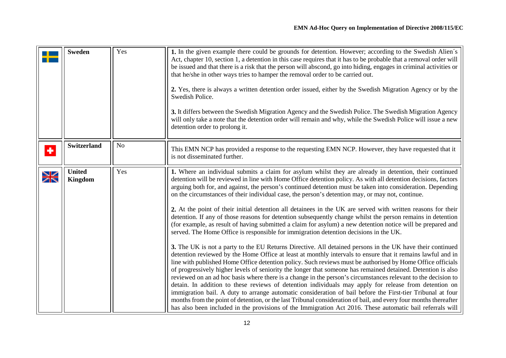<span id="page-11-1"></span><span id="page-11-0"></span>

|        | <b>Sweden</b>                   | Yes            | 1. In the given example there could be grounds for detention. However; according to the Swedish Alien's<br>Act, chapter 10, section 1, a detention in this case requires that it has to be probable that a removal order will<br>be issued and that there is a risk that the person will abscond, go into hiding, engages in criminal activities or<br>that he/she in other ways tries to hamper the removal order to be carried out.<br>2. Yes, there is always a written detention order issued, either by the Swedish Migration Agency or by the<br>Swedish Police.<br>3. It differs between the Swedish Migration Agency and the Swedish Police. The Swedish Migration Agency<br>will only take a note that the detention order will remain and why, while the Swedish Police will issue a new<br>detention order to prolong it.                                                                                                                                                                                                                                                                                                                                                                                                                                                                                                                                                                                                                                                                                                                                                                                                                                                                                                                                                                                                                                                                                   |
|--------|---------------------------------|----------------|------------------------------------------------------------------------------------------------------------------------------------------------------------------------------------------------------------------------------------------------------------------------------------------------------------------------------------------------------------------------------------------------------------------------------------------------------------------------------------------------------------------------------------------------------------------------------------------------------------------------------------------------------------------------------------------------------------------------------------------------------------------------------------------------------------------------------------------------------------------------------------------------------------------------------------------------------------------------------------------------------------------------------------------------------------------------------------------------------------------------------------------------------------------------------------------------------------------------------------------------------------------------------------------------------------------------------------------------------------------------------------------------------------------------------------------------------------------------------------------------------------------------------------------------------------------------------------------------------------------------------------------------------------------------------------------------------------------------------------------------------------------------------------------------------------------------------------------------------------------------------------------------------------------------|
| ٠      | <b>Switzerland</b>              | N <sub>o</sub> | This EMN NCP has provided a response to the requesting EMN NCP. However, they have requested that it<br>is not disseminated further.                                                                                                                                                                                                                                                                                                                                                                                                                                                                                                                                                                                                                                                                                                                                                                                                                                                                                                                                                                                                                                                                                                                                                                                                                                                                                                                                                                                                                                                                                                                                                                                                                                                                                                                                                                                   |
| $\geq$ | <b>United</b><br><b>Kingdom</b> | Yes            | 1. Where an individual submits a claim for asylum whilst they are already in detention, their continued<br>detention will be reviewed in line with Home Office detention policy. As with all detention decisions, factors<br>arguing both for, and against, the person's continued detention must be taken into consideration. Depending<br>on the circumstances of their individual case, the person's detention may, or may not, continue.<br>2. At the point of their initial detention all detainees in the UK are served with written reasons for their<br>detention. If any of those reasons for detention subsequently change whilst the person remains in detention<br>(for example, as result of having submitted a claim for asylum) a new detention notice will be prepared and<br>served. The Home Office is responsible for immigration detention decisions in the UK.<br>3. The UK is not a party to the EU Returns Directive. All detained persons in the UK have their continued<br>detention reviewed by the Home Office at least at monthly intervals to ensure that it remains lawful and in<br>line with published Home Office detention policy. Such reviews must be authorised by Home Office officials<br>of progressively higher levels of seniority the longer that someone has remained detained. Detention is also<br>reviewed on an ad hoc basis where there is a change in the person's circumstances relevant to the decision to<br>detain. In addition to these reviews of detention individuals may apply for release from detention on<br>immigration bail. A duty to arrange automatic consideration of bail before the First-tier Tribunal at four<br>months from the point of detention, or the last Tribunal consideration of bail, and every four months thereafter<br>has also been included in the provisions of the Immigration Act 2016. These automatic bail referrals will |